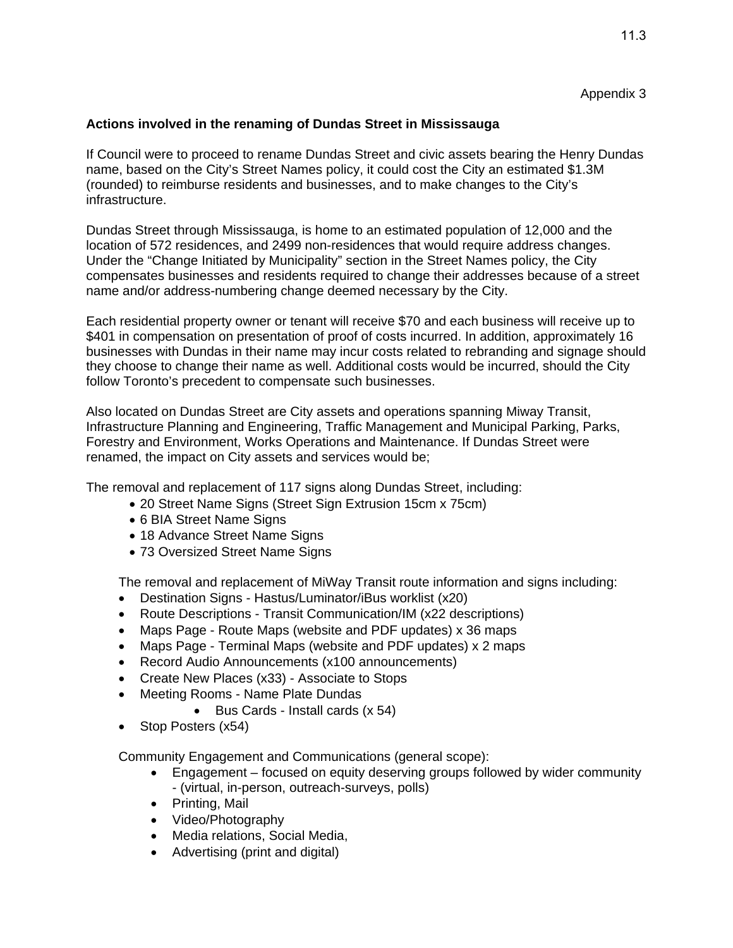## **Actions involved in the renaming of Dundas Street in Mississauga**

If Council were to proceed to rename Dundas Street and civic assets bearing the Henry Dundas name, based on the City's Street Names policy, it could cost the City an estimated \$1.3M (rounded) to reimburse residents and businesses, and to make changes to the City's infrastructure.

Dundas Street through Mississauga, is home to an estimated population of 12,000 and the location of 572 residences, and 2499 non-residences that would require address changes. Under the "Change Initiated by Municipality" section in the Street Names policy, the City compensates businesses and residents required to change their addresses because of a street name and/or address-numbering change deemed necessary by the City.

Each residential property owner or tenant will receive \$70 and each business will receive up to \$401 in compensation on presentation of proof of costs incurred. In addition, approximately 16 businesses with Dundas in their name may incur costs related to rebranding and signage should they choose to change their name as well. Additional costs would be incurred, should the City follow Toronto's precedent to compensate such businesses.

Also located on Dundas Street are City assets and operations spanning Miway Transit, Infrastructure Planning and Engineering, Traffic Management and Municipal Parking, Parks, Forestry and Environment, Works Operations and Maintenance. If Dundas Street were renamed, the impact on City assets and services would be;

The removal and replacement of 117 signs along Dundas Street, including:

- 20 Street Name Signs (Street Sign Extrusion 15cm x 75cm)
- 6 BIA Street Name Signs
- 18 Advance Street Name Signs
- 73 Oversized Street Name Signs

The removal and replacement of MiWay Transit route information and signs including:

- Destination Signs Hastus/Luminator/iBus worklist (x20)
- Route Descriptions Transit Communication/IM (x22 descriptions)
- Maps Page Route Maps (website and PDF updates) x 36 maps
- Maps Page Terminal Maps (website and PDF updates) x 2 maps
- Record Audio Announcements (x100 announcements)
- Create New Places (x33) Associate to Stops
- Meeting Rooms Name Plate Dundas
	- Bus Cards Install cards (x 54)
- Stop Posters (x54)

Community Engagement and Communications (general scope):

- Engagement focused on equity deserving groups followed by wider community - (virtual, in-person, outreach-surveys, polls)
- Printing, Mail
- Video/Photography
- Media relations, Social Media,
- Advertising (print and digital)